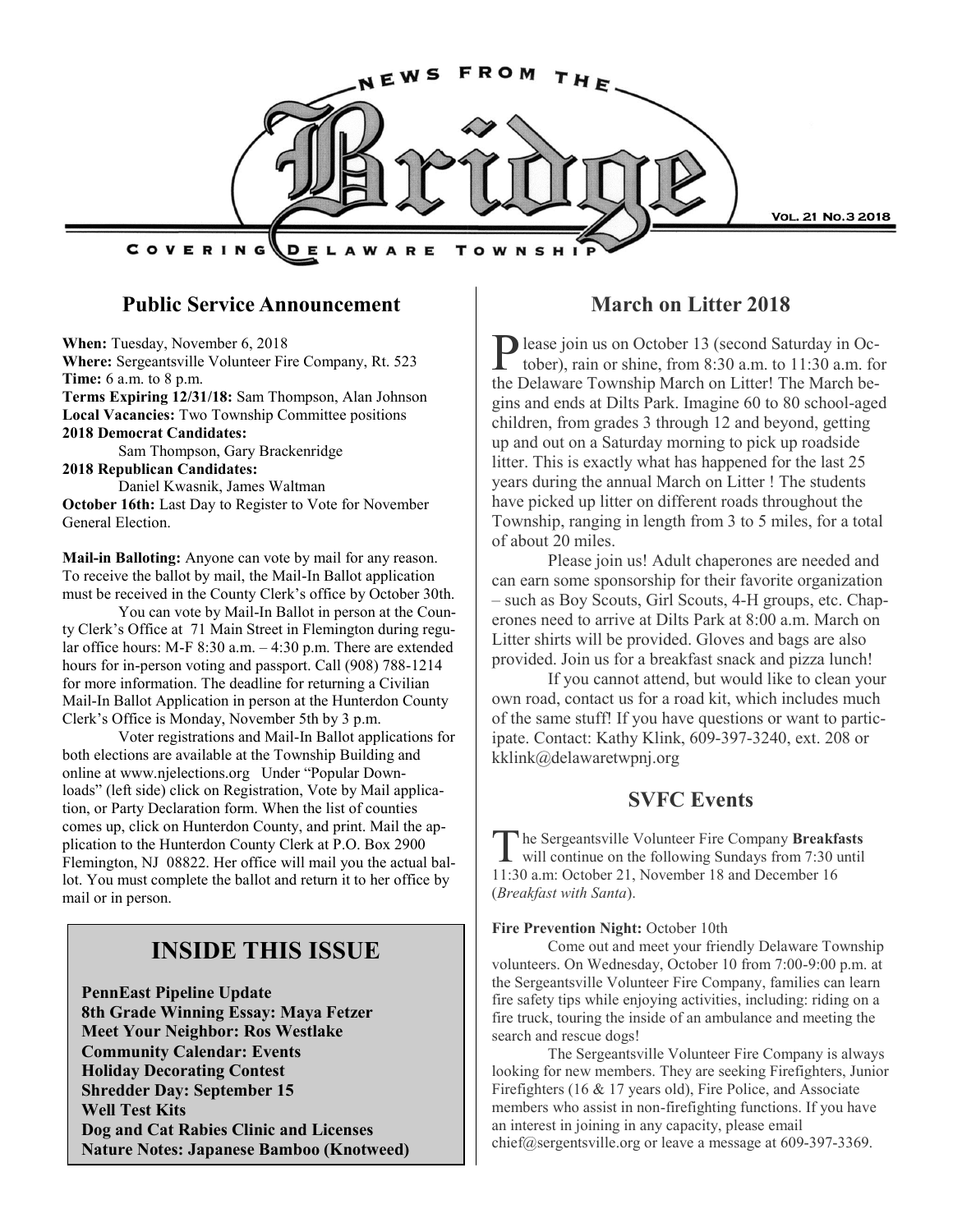

### **Public Service Announcement**

**When:** Tuesday, November 6, 2018 **Where:** Sergeantsville Volunteer Fire Company, Rt. 523 **Time:** 6 a.m. to 8 p.m. **Terms Expiring 12/31/18:** Sam Thompson, Alan Johnson **Local Vacancies:** Two Township Committee positions **2018 Democrat Candidates:**  Sam Thompson, Gary Brackenridge **2018 Republican Candidates:**  Daniel Kwasnik, James Waltman **October 16th:** Last Day to Register to Vote for November General Election.

**Mail-in Balloting:** Anyone can vote by mail for any reason. To receive the ballot by mail, the Mail-In Ballot application must be received in the County Clerk's office by October 30th.

You can vote by Mail-In Ballot in person at the County Clerk's Office at 71 Main Street in Flemington during regular office hours: M-F 8:30 a.m. – 4:30 p.m. There are extended hours for in-person voting and passport. Call (908) 788-1214 for more information. The deadline for returning a Civilian Mail-In Ballot Application in person at the Hunterdon County Clerk's Office is Monday, November 5th by 3 p.m.

Voter registrations and Mail-In Ballot applications for both elections are available at the Township Building and online at www.njelections.org Under "Popular Downloads" (left side) click on Registration, Vote by Mail application, or Party Declaration form. When the list of counties comes up, click on Hunterdon County, and print. Mail the application to the Hunterdon County Clerk at P.O. Box 2900 Flemington, NJ 08822. Her office will mail you the actual ballot. You must complete the ballot and return it to her office by mail or in person.

## **INSIDE THIS ISSUE**

**PennEast Pipeline Update 8th Grade Winning Essay: Maya Fetzer Meet Your Neighbor: Ros Westlake Community Calendar: Events Holiday Decorating Contest Shredder Day: September 15 Well Test Kits Dog and Cat Rabies Clinic and Licenses Nature Notes: Japanese Bamboo (Knotweed)**

### **March on Litter 2018**

P lease join us on October 13 (second Saturday in October), rain or shine, from 8:30 a.m. to 11:30 a.m. fo tober), rain or shine, from 8:30 a.m. to 11:30 a.m. for the Delaware Township March on Litter! The March begins and ends at Dilts Park. Imagine 60 to 80 school-aged children, from grades 3 through 12 and beyond, getting up and out on a Saturday morning to pick up roadside litter. This is exactly what has happened for the last 25 years during the annual March on Litter ! The students have picked up litter on different roads throughout the Township, ranging in length from 3 to 5 miles, for a total of about 20 miles.

Please join us! Adult chaperones are needed and can earn some sponsorship for their favorite organization – such as Boy Scouts, Girl Scouts, 4-H groups, etc. Chaperones need to arrive at Dilts Park at 8:00 a.m. March on Litter shirts will be provided. Gloves and bags are also provided. Join us for a breakfast snack and pizza lunch!

If you cannot attend, but would like to clean your own road, contact us for a road kit, which includes much of the same stuff! If you have questions or want to participate. Contact: Kathy Klink, 609-397-3240, ext. 208 or kklink@delawaretwpnj.org

#### **SVFC Events**

The Sergeantsville Volunteer Fire Company Breakfasts<br>will continue on the following Sundays from 7:30 until he Sergeantsville Volunteer Fire Company **Breakfasts**  11:30 a.m: October 21, November 18 and December 16 (*Breakfast with Santa*).

#### **Fire Prevention Night:** October 10th

Come out and meet your friendly Delaware Township volunteers. On Wednesday, October 10 from 7:00-9:00 p.m. at the Sergeantsville Volunteer Fire Company, families can learn fire safety tips while enjoying activities, including: riding on a fire truck, touring the inside of an ambulance and meeting the search and rescue dogs!

The Sergeantsville Volunteer Fire Company is always looking for new members. They are seeking Firefighters, Junior Firefighters (16 & 17 years old), Fire Police, and Associate members who assist in non-firefighting functions. If you have an interest in joining in any capacity, please email chief@sergentsville.org or leave a message at 609-397-3369.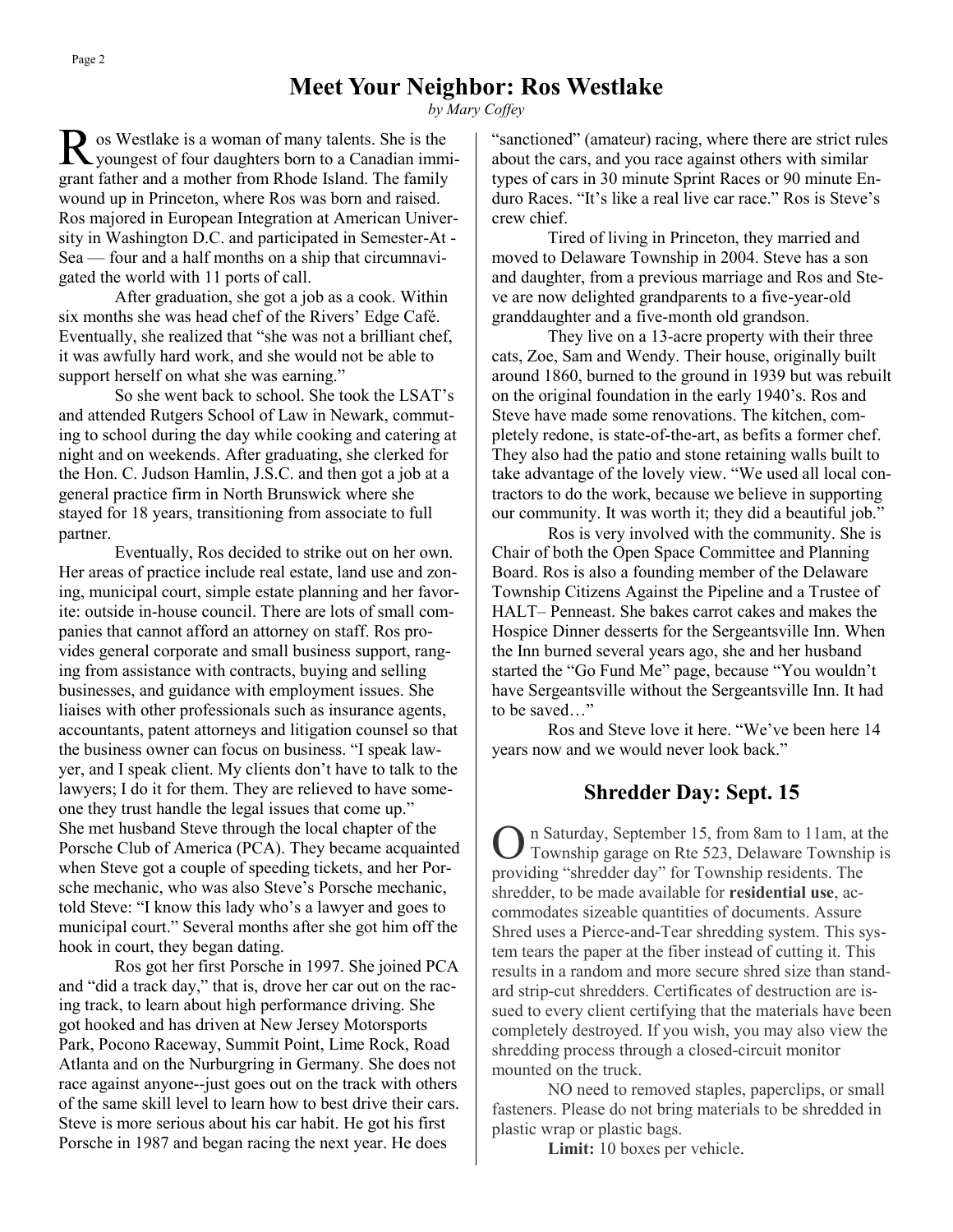## **Meet Your Neighbor: Ros Westlake**

*by Mary Coffey*

R os Westlake is a woman of many talents. She is the youngest of four daughters born to a Canadian immigrant father and a mother from Rhode Island. The family wound up in Princeton, where Ros was born and raised. Ros majored in European Integration at American University in Washington D.C. and participated in Semester-At - Sea — four and a half months on a ship that circumnavigated the world with 11 ports of call.

After graduation, she got a job as a cook. Within six months she was head chef of the Rivers' Edge Café. Eventually, she realized that "she was not a brilliant chef, it was awfully hard work, and she would not be able to support herself on what she was earning."

So she went back to school. She took the LSAT's and attended Rutgers School of Law in Newark, commuting to school during the day while cooking and catering at night and on weekends. After graduating, she clerked for the Hon. C. Judson Hamlin, J.S.C. and then got a job at a general practice firm in North Brunswick where she stayed for 18 years, transitioning from associate to full partner.

Eventually, Ros decided to strike out on her own. Her areas of practice include real estate, land use and zoning, municipal court, simple estate planning and her favorite: outside in-house council. There are lots of small companies that cannot afford an attorney on staff. Ros provides general corporate and small business support, ranging from assistance with contracts, buying and selling businesses, and guidance with employment issues. She liaises with other professionals such as insurance agents, accountants, patent attorneys and litigation counsel so that the business owner can focus on business. "I speak lawyer, and I speak client. My clients don't have to talk to the lawyers; I do it for them. They are relieved to have someone they trust handle the legal issues that come up." She met husband Steve through the local chapter of the Porsche Club of America (PCA). They became acquainted when Steve got a couple of speeding tickets, and her Porsche mechanic, who was also Steve's Porsche mechanic, told Steve: "I know this lady who's a lawyer and goes to municipal court." Several months after she got him off the hook in court, they began dating.

Ros got her first Porsche in 1997. She joined PCA and "did a track day," that is, drove her car out on the racing track, to learn about high performance driving. She got hooked and has driven at New Jersey Motorsports Park, Pocono Raceway, Summit Point, Lime Rock, Road Atlanta and on the Nurburgring in Germany. She does not race against anyone--just goes out on the track with others of the same skill level to learn how to best drive their cars. Steve is more serious about his car habit. He got his first Porsche in 1987 and began racing the next year. He does

"sanctioned" (amateur) racing, where there are strict rules about the cars, and you race against others with similar types of cars in 30 minute Sprint Races or 90 minute Enduro Races. "It's like a real live car race." Ros is Steve's crew chief.

Tired of living in Princeton, they married and moved to Delaware Township in 2004. Steve has a son and daughter, from a previous marriage and Ros and Steve are now delighted grandparents to a five-year-old granddaughter and a five-month old grandson.

They live on a 13-acre property with their three cats, Zoe, Sam and Wendy. Their house, originally built around 1860, burned to the ground in 1939 but was rebuilt on the original foundation in the early 1940's. Ros and Steve have made some renovations. The kitchen, completely redone, is state-of-the-art, as befits a former chef. They also had the patio and stone retaining walls built to take advantage of the lovely view. "We used all local contractors to do the work, because we believe in supporting our community. It was worth it; they did a beautiful job."

Ros is very involved with the community. She is Chair of both the Open Space Committee and Planning Board. Ros is also a founding member of the Delaware Township Citizens Against the Pipeline and a Trustee of HALT– Penneast. She bakes carrot cakes and makes the Hospice Dinner desserts for the Sergeantsville Inn. When the Inn burned several years ago, she and her husband started the "Go Fund Me" page, because "You wouldn't have Sergeantsville without the Sergeantsville Inn. It had to be saved…"

Ros and Steve love it here. "We've been here 14 years now and we would never look back."

### **Shredder Day: Sept. 15**

O n Saturday, September 15, from 8am to 11am, at the Township garage on Rte 523, Delaware Township is providing "shredder day" for Township residents. The shredder, to be made available for **residential use**, accommodates sizeable quantities of documents. Assure Shred uses a Pierce-and-Tear shredding system. This system tears the paper at the fiber instead of cutting it. This results in a random and more secure shred size than standard strip-cut shredders. Certificates of destruction are issued to every client certifying that the materials have been completely destroyed. If you wish, you may also view the shredding process through a closed-circuit monitor mounted on the truck.

NO need to removed staples, paperclips, or small fasteners. Please do not bring materials to be shredded in plastic wrap or plastic bags.

**Limit:** 10 boxes per vehicle.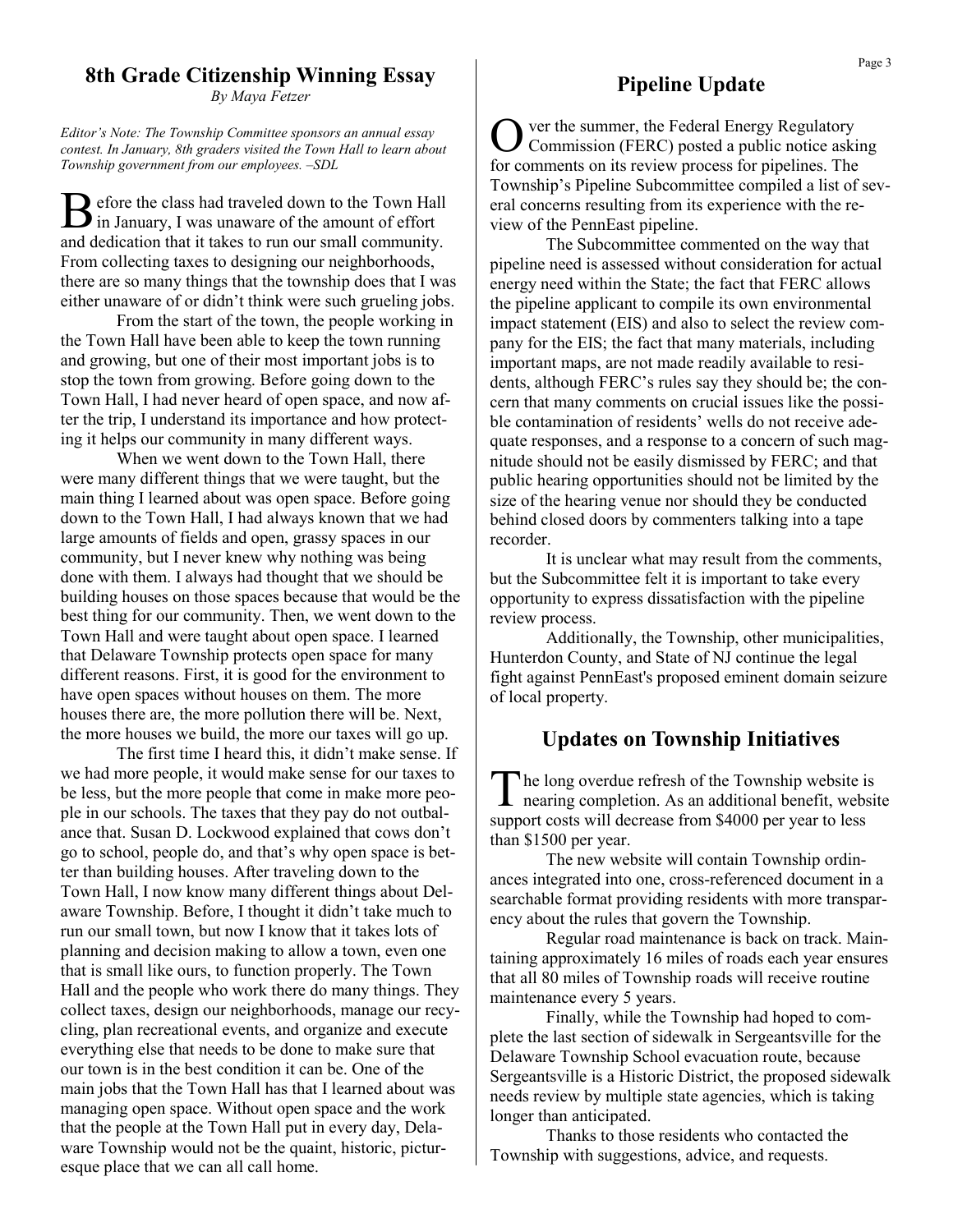## **8th Grade Citizenship Winning Essay**

*By Maya Fetzer*

*Editor's Note: The Township Committee sponsors an annual essay contest. In January, 8th graders visited the Town Hall to learn about Township government from our employees. –SDL*

B efore the class had traveled down to the Town Hall in January, I was unaware of the amount of effort efore the class had traveled down to the Town Hall and dedication that it takes to run our small community. From collecting taxes to designing our neighborhoods, there are so many things that the township does that I was either unaware of or didn't think were such grueling jobs.

From the start of the town, the people working in the Town Hall have been able to keep the town running and growing, but one of their most important jobs is to stop the town from growing. Before going down to the Town Hall, I had never heard of open space, and now after the trip, I understand its importance and how protecting it helps our community in many different ways.

When we went down to the Town Hall, there were many different things that we were taught, but the main thing I learned about was open space. Before going down to the Town Hall, I had always known that we had large amounts of fields and open, grassy spaces in our community, but I never knew why nothing was being done with them. I always had thought that we should be building houses on those spaces because that would be the best thing for our community. Then, we went down to the Town Hall and were taught about open space. I learned that Delaware Township protects open space for many different reasons. First, it is good for the environment to have open spaces without houses on them. The more houses there are, the more pollution there will be. Next, the more houses we build, the more our taxes will go up.

The first time I heard this, it didn't make sense. If we had more people, it would make sense for our taxes to be less, but the more people that come in make more people in our schools. The taxes that they pay do not outbalance that. Susan D. Lockwood explained that cows don't go to school, people do, and that's why open space is better than building houses. After traveling down to the Town Hall, I now know many different things about Delaware Township. Before, I thought it didn't take much to run our small town, but now I know that it takes lots of planning and decision making to allow a town, even one that is small like ours, to function properly. The Town Hall and the people who work there do many things. They collect taxes, design our neighborhoods, manage our recycling, plan recreational events, and organize and execute everything else that needs to be done to make sure that our town is in the best condition it can be. One of the main jobs that the Town Hall has that I learned about was managing open space. Without open space and the work that the people at the Town Hall put in every day, Delaware Township would not be the quaint, historic, picturesque place that we can all call home.

## **Pipeline Update**

O ver the summer, the Federal Energy Regulatory Commission (FERC) posted a public notice asking for comments on its review process for pipelines. The Township's Pipeline Subcommittee compiled a list of several concerns resulting from its experience with the review of the PennEast pipeline.

The Subcommittee commented on the way that pipeline need is assessed without consideration for actual energy need within the State; the fact that FERC allows the pipeline applicant to compile its own environmental impact statement (EIS) and also to select the review company for the EIS; the fact that many materials, including important maps, are not made readily available to residents, although FERC's rules say they should be; the concern that many comments on crucial issues like the possible contamination of residents' wells do not receive adequate responses, and a response to a concern of such magnitude should not be easily dismissed by FERC; and that public hearing opportunities should not be limited by the size of the hearing venue nor should they be conducted behind closed doors by commenters talking into a tape recorder.

It is unclear what may result from the comments, but the Subcommittee felt it is important to take every opportunity to express dissatisfaction with the pipeline review process.

Additionally, the Township, other municipalities, Hunterdon County, and State of NJ continue the legal fight against PennEast's proposed eminent domain seizure of local property.

### **Updates on Township Initiatives**

The long overdue refresh of the Township website is<br>nearing completion. As an additional benefit, website he long overdue refresh of the Township website is support costs will decrease from \$4000 per year to less than \$1500 per year.

The new website will contain Township ordinances integrated into one, cross-referenced document in a searchable format providing residents with more transparency about the rules that govern the Township.

Regular road maintenance is back on track. Maintaining approximately 16 miles of roads each year ensures that all 80 miles of Township roads will receive routine maintenance every 5 years.

Finally, while the Township had hoped to complete the last section of sidewalk in Sergeantsville for the Delaware Township School evacuation route, because Sergeantsville is a Historic District, the proposed sidewalk needs review by multiple state agencies, which is taking longer than anticipated.

Thanks to those residents who contacted the Township with suggestions, advice, and requests.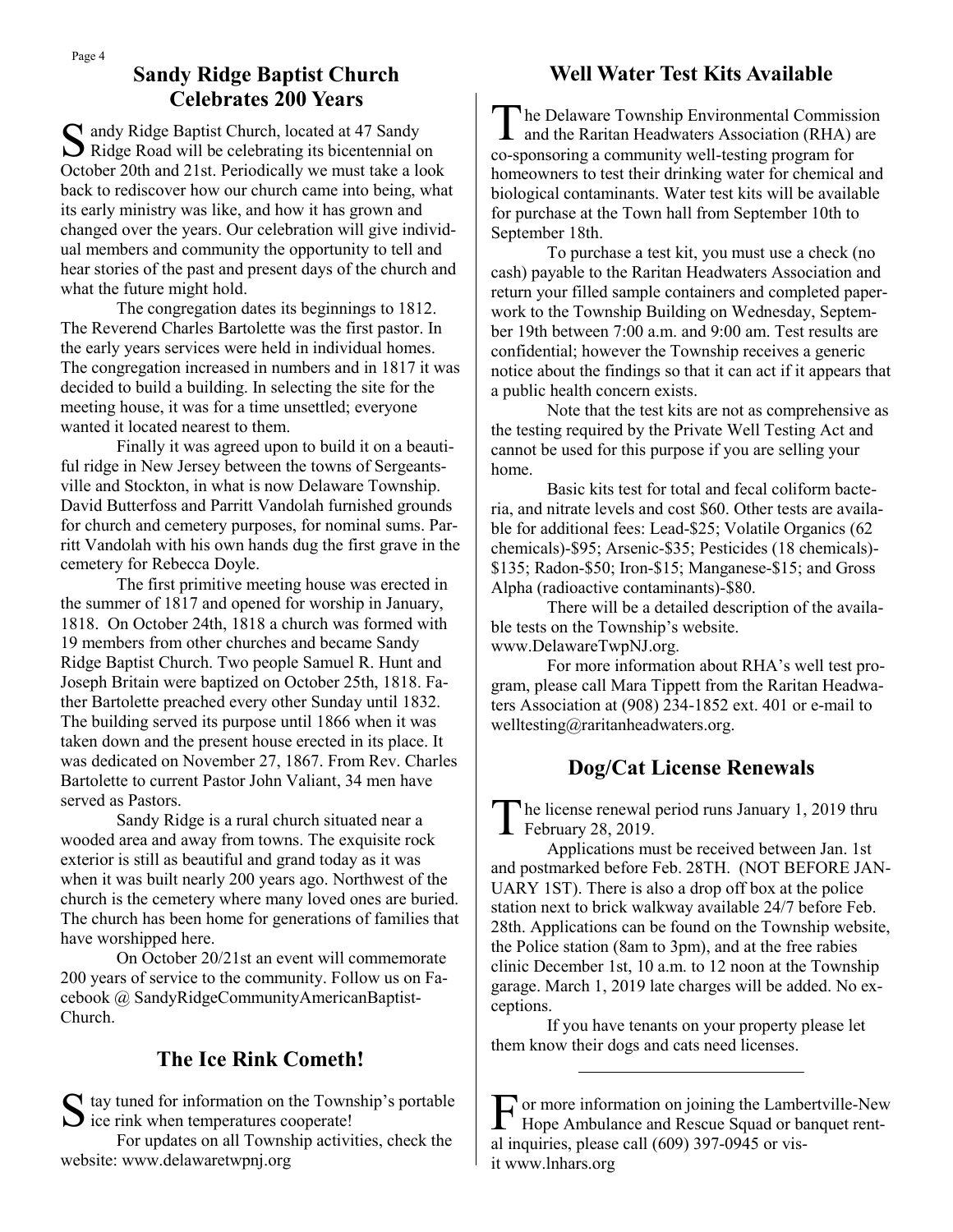## **Sandy Ridge Baptist Church Celebrates 200 Years**

S andy Ridge Baptist Church, located at 47 Sandy<br>Ridge Road will be celebrating its bicentennial on andy Ridge Baptist Church, located at 47 Sandy October 20th and 21st. Periodically we must take a look back to rediscover how our church came into being, what its early ministry was like, and how it has grown and changed over the years. Our celebration will give individual members and community the opportunity to tell and hear stories of the past and present days of the church and what the future might hold.

The congregation dates its beginnings to 1812. The Reverend Charles Bartolette was the first pastor. In the early years services were held in individual homes. The congregation increased in numbers and in 1817 it was decided to build a building. In selecting the site for the meeting house, it was for a time unsettled; everyone wanted it located nearest to them.

Finally it was agreed upon to build it on a beautiful ridge in New Jersey between the towns of Sergeantsville and Stockton, in what is now Delaware Township. David Butterfoss and Parritt Vandolah furnished grounds for church and cemetery purposes, for nominal sums. Parritt Vandolah with his own hands dug the first grave in the cemetery for Rebecca Doyle.

The first primitive meeting house was erected in the summer of 1817 and opened for worship in January, 1818. On October 24th, 1818 a church was formed with 19 members from other churches and became Sandy Ridge Baptist Church. Two people Samuel R. Hunt and Joseph Britain were baptized on October 25th, 1818. Father Bartolette preached every other Sunday until 1832. The building served its purpose until 1866 when it was taken down and the present house erected in its place. It was dedicated on November 27, 1867. From Rev. Charles Bartolette to current Pastor John Valiant, 34 men have served as Pastors.

Sandy Ridge is a rural church situated near a wooded area and away from towns. The exquisite rock exterior is still as beautiful and grand today as it was when it was built nearly 200 years ago. Northwest of the church is the cemetery where many loved ones are buried. The church has been home for generations of families that have worshipped here.

On October 20/21st an event will commemorate 200 years of service to the community. Follow us on Facebook @ SandyRidgeCommunityAmericanBaptist-Church.

## **The Ice Rink Cometh!**

S tay tuned for information on the Towns<br>ice rink when temperatures cooperate!  $\Gamma$  tay tuned for information on the Township's portable

For updates on all Township activities, check the website: www.delawaretwpnj.org

## **Well Water Test Kits Available**

The Delaware Township Environmental Commission<br>and the Raritan Headwaters Association (RHA) are he Delaware Township Environmental Commission co-sponsoring a community well-testing program for homeowners to test their drinking water for chemical and biological contaminants. Water test kits will be available for purchase at the Town hall from September 10th to September 18th.

To purchase a test kit, you must use a check (no cash) payable to the Raritan Headwaters Association and return your filled sample containers and completed paperwork to the Township Building on Wednesday, September 19th between 7:00 a.m. and 9:00 am. Test results are confidential; however the Township receives a generic notice about the findings so that it can act if it appears that a public health concern exists.

Note that the test kits are not as comprehensive as the testing required by the Private Well Testing Act and cannot be used for this purpose if you are selling your home.

Basic kits test for total and fecal coliform bacteria, and nitrate levels and cost \$60. Other tests are available for additional fees: Lead-\$25; Volatile Organics (62 chemicals)-\$95; Arsenic-\$35; Pesticides (18 chemicals)- \$135; Radon-\$50; Iron-\$15; Manganese-\$15; and Gross Alpha (radioactive contaminants)-\$80.

There will be a detailed description of the available tests on the Township's website. www.DelawareTwpNJ.org.

For more information about RHA's well test program, please call Mara Tippett from the Raritan Headwaters Association at (908) 234-1852 ext. 401 or e-mail to welltesting@raritanheadwaters.org.

## **Dog/Cat License Renewals**

The license renewal<br>February 28, 2019. he license renewal period runs January 1, 2019 thru

Applications must be received between Jan. 1st and postmarked before Feb. 28TH. (NOT BEFORE JAN-UARY 1ST). There is also a drop off box at the police station next to brick walkway available 24/7 before Feb. 28th. Applications can be found on the Township website, the Police station (8am to 3pm), and at the free rabies clinic December 1st, 10 a.m. to 12 noon at the Township garage. March 1, 2019 late charges will be added. No exceptions.

If you have tenants on your property please let them know their dogs and cats need licenses.

F or more information on joining the Lambertville-New<br>Hope Ambulance and Rescue Squad or banquet rent-Hope Ambulance and Rescue Squad or banquet rental inquiries, please call (609) 397-0945 or visit www.lnhars.org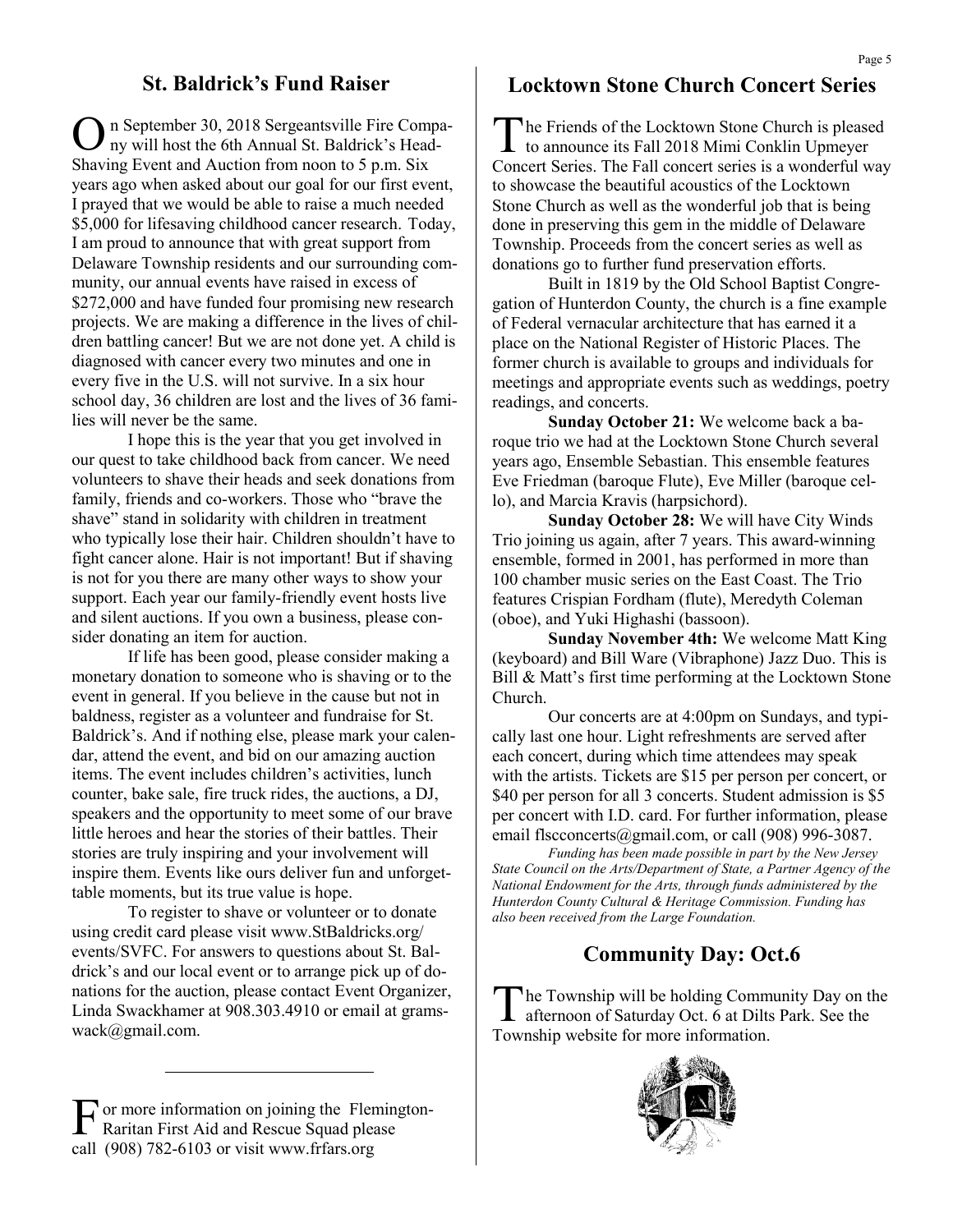## **St. Baldrick's Fund Raiser**

O n September 30, 2018 Sergeantsville Fire Company will host the 6th Annual St. Baldrick's Head-Shaving Event and Auction from noon to 5 p.m. Six years ago when asked about our goal for our first event, I prayed that we would be able to raise a much needed \$5,000 for lifesaving childhood cancer research. Today, I am proud to announce that with great support from Delaware Township residents and our surrounding community, our annual events have raised in excess of \$272,000 and have funded four promising new research projects. We are making a difference in the lives of children battling cancer! But we are not done yet. A child is diagnosed with cancer every two minutes and one in every five in the U.S. will not survive. In a six hour school day, 36 children are lost and the lives of 36 families will never be the same.

I hope this is the year that you get involved in our quest to take childhood back from cancer. We need volunteers to shave their heads and seek donations from family, friends and co-workers. Those who "brave the shave" stand in solidarity with children in treatment who typically lose their hair. Children shouldn't have to fight cancer alone. Hair is not important! But if shaving is not for you there are many other ways to show your support. Each year our family-friendly event hosts live and silent auctions. If you own a business, please consider donating an item for auction.

If life has been good, please consider making a monetary donation to someone who is shaving or to the event in general. If you believe in the cause but not in baldness, register as a volunteer and fundraise for St. Baldrick's. And if nothing else, please mark your calendar, attend the event, and bid on our amazing auction items. The event includes children's activities, lunch counter, bake sale, fire truck rides, the auctions, a DJ, speakers and the opportunity to meet some of our brave little heroes and hear the stories of their battles. Their stories are truly inspiring and your involvement will inspire them. Events like ours deliver fun and unforgettable moments, but its true value is hope.

To register to shave or volunteer or to donate using credit card please visit www.StBaldricks.org/ events/SVFC. For answers to questions about St. Baldrick's and our local event or to arrange pick up of donations for the auction, please contact Event Organizer, Linda Swackhamer at 908.303.4910 or email at gramswack@gmail.com.

F or more information on joining the Flemington-<br>Raritan First Aid and Rescue Squad please Raritan First Aid and Rescue Squad please call (908) 782-6103 or visit www.frfars.org

## **Locktown Stone Church Concert Series**

T he Friends of the Locktown Stone Church is pleased to announce its Fall 2018 Mimi Conklin Upmeyer Concert Series. The Fall concert series is a wonderful way to showcase the beautiful acoustics of the Locktown Stone Church as well as the wonderful job that is being done in preserving this gem in the middle of Delaware Township. Proceeds from the concert series as well as donations go to further fund preservation efforts.

Built in 1819 by the Old School Baptist Congregation of Hunterdon County, the church is a fine example of Federal vernacular architecture that has earned it a place on the National Register of Historic Places. The former church is available to groups and individuals for meetings and appropriate events such as weddings, poetry readings, and concerts.

**Sunday October 21:** We welcome back a baroque trio we had at the Locktown Stone Church several years ago, Ensemble Sebastian. This ensemble features Eve Friedman (baroque Flute), Eve Miller (baroque cello), and Marcia Kravis (harpsichord).

**Sunday October 28:** We will have City Winds Trio joining us again, after 7 years. This award-winning ensemble, formed in 2001, has performed in more than 100 chamber music series on the East Coast. The Trio features Crispian Fordham (flute), Meredyth Coleman (oboe), and Yuki Highashi (bassoon).

**Sunday November 4th:** We welcome Matt King (keyboard) and Bill Ware (Vibraphone) Jazz Duo. This is Bill & Matt's first time performing at the Locktown Stone Church.

Our concerts are at 4:00pm on Sundays, and typically last one hour. Light refreshments are served after each concert, during which time attendees may speak with the artists. Tickets are \$15 per person per concert, or \$40 per person for all 3 concerts. Student admission is \$5 per concert with I.D. card. For further information, please email flscconcerts@gmail.com, or call (908) 996-3087.

*Funding has been made possible in part by the New Jersey State Council on the Arts/Department of State, a Partner Agency of the National Endowment for the Arts, through funds administered by the Hunterdon County Cultural & Heritage Commission. Funding has also been received from the Large Foundation.*

## **Community Day: Oct.6**

 $\prod_{n=1}^{n}$ he Township will be holding Community Day on the afternoon of Saturday Oct. 6 at Dilts Park. See the Township website for more information.

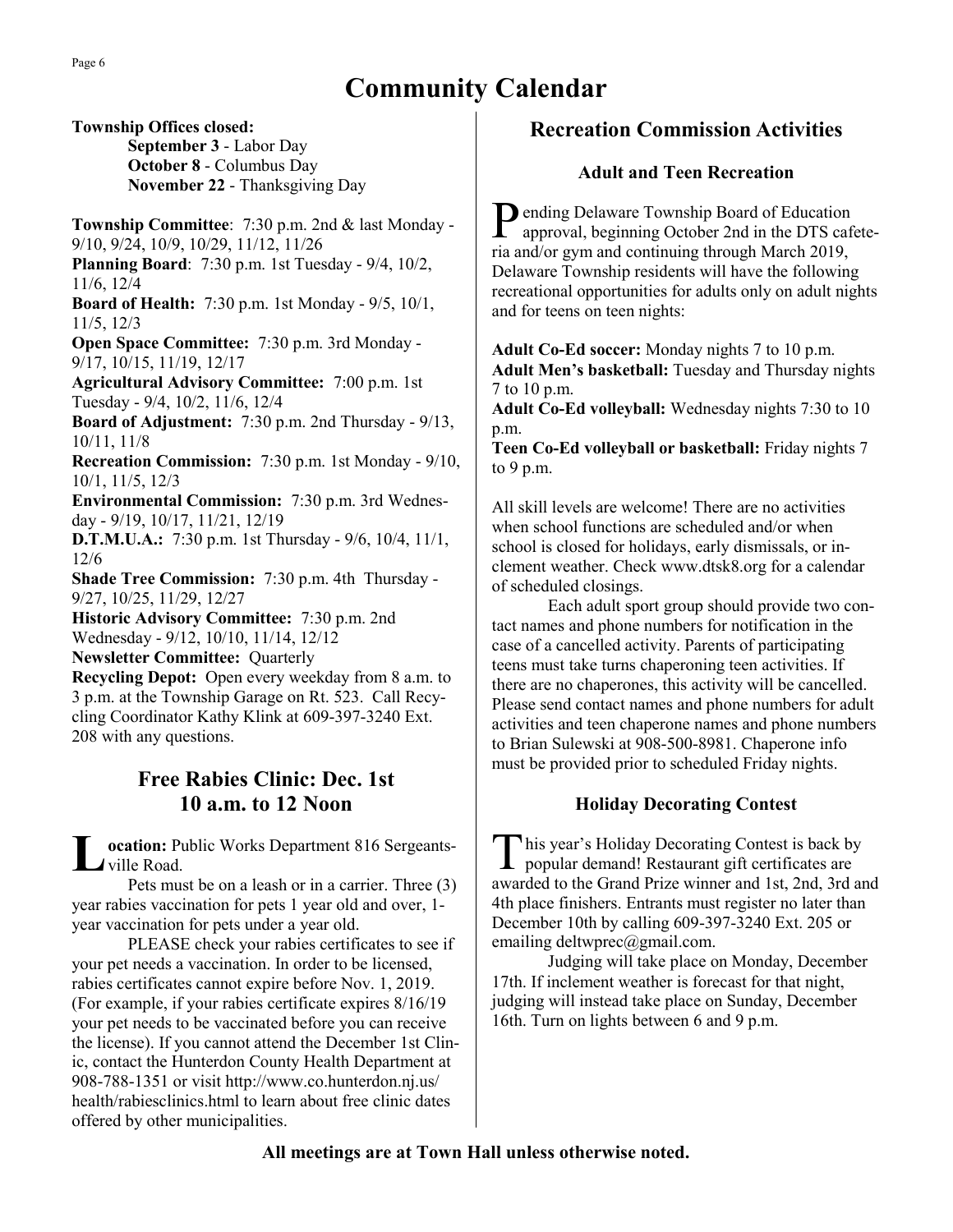# **Community Calendar**

**Township Offices closed: September 3** - Labor Day **October 8** - Columbus Day **November 22** - Thanksgiving Day

**Township Committee**: 7:30 p.m. 2nd & last Monday - 9/10, 9/24, 10/9, 10/29, 11/12, 11/26 **Planning Board**: 7:30 p.m. 1st Tuesday - 9/4, 10/2,

11/6, 12/4

**Board of Health:** 7:30 p.m. 1st Monday - 9/5, 10/1, 11/5, 12/3

**Open Space Committee:** 7:30 p.m. 3rd Monday - 9/17, 10/15, 11/19, 12/17

**Agricultural Advisory Committee:** 7:00 p.m. 1st Tuesday - 9/4, 10/2, 11/6, 12/4

**Board of Adjustment:** 7:30 p.m. 2nd Thursday - 9/13, 10/11, 11/8

**Recreation Commission:** 7:30 p.m. 1st Monday - 9/10, 10/1, 11/5, 12/3

**Environmental Commission:** 7:30 p.m. 3rd Wednesday - 9/19, 10/17, 11/21, 12/19

**D.T.M.U.A.:** 7:30 p.m. 1st Thursday - 9/6, 10/4, 11/1, 12/6

**Shade Tree Commission:** 7:30 p.m. 4th Thursday - 9/27, 10/25, 11/29, 12/27

**Historic Advisory Committee:** 7:30 p.m. 2nd Wednesday - 9/12, 10/10, 11/14, 12/12

**Newsletter Committee:** Quarterly

**Recycling Depot:** Open every weekday from 8 a.m. to 3 p.m. at the Township Garage on Rt. 523. Call Recycling Coordinator Kathy Klink at 609-397-3240 Ext. 208 with any questions.

## **Free Rabies Clinic: Dec. 1st 10 a.m. to 12 Noon**

**L ocation:** Public Works Department 816 Sergeantsville Road.

Pets must be on a leash or in a carrier. Three (3) year rabies vaccination for pets 1 year old and over, 1 year vaccination for pets under a year old.

PLEASE check your rabies certificates to see if your pet needs a vaccination. In order to be licensed, rabies certificates cannot expire before Nov. 1, 2019. (For example, if your rabies certificate expires 8/16/19 your pet needs to be vaccinated before you can receive the license). If you cannot attend the December 1st Clinic, contact the Hunterdon County Health Department at 908-788-1351 or visit http://www.co.hunterdon.nj.us/ health/rabiesclinics.html to learn about free clinic dates offered by other municipalities.

## **Recreation Commission Activities**

### **Adult and Teen Recreation**

Pending Delaware Township Board of Education<br>approval, beginning October 2nd in the DTS caf approval, beginning October 2nd in the DTS cafeteria and/or gym and continuing through March 2019, Delaware Township residents will have the following recreational opportunities for adults only on adult nights and for teens on teen nights:

**Adult Co-Ed soccer:** Monday nights 7 to 10 p.m. **Adult Men's basketball:** Tuesday and Thursday nights 7 to 10 p.m.

**Adult Co-Ed volleyball:** Wednesday nights 7:30 to 10 p.m.

**Teen Co-Ed volleyball or basketball:** Friday nights 7 to 9 p.m.

All skill levels are welcome! There are no activities when school functions are scheduled and/or when school is closed for holidays, early dismissals, or inclement weather. Check www.dtsk8.org for a calendar of scheduled closings.

Each adult sport group should provide two contact names and phone numbers for notification in the case of a cancelled activity. Parents of participating teens must take turns chaperoning teen activities. If there are no chaperones, this activity will be cancelled. Please send contact names and phone numbers for adult activities and teen chaperone names and phone numbers to Brian Sulewski at 908-500-8981. Chaperone info must be provided prior to scheduled Friday nights.

### **Holiday Decorating Contest**

T his year's Holiday Decorating Contest is back by popular demand! Restaurant gift certificates are awarded to the Grand Prize winner and 1st, 2nd, 3rd and 4th place finishers. Entrants must register no later than December 10th by calling 609-397-3240 Ext. 205 or emailing deltwprec@gmail.com.

Judging will take place on Monday, December 17th. If inclement weather is forecast for that night, judging will instead take place on Sunday, December 16th. Turn on lights between 6 and 9 p.m.

### **All meetings are at Town Hall unless otherwise noted.**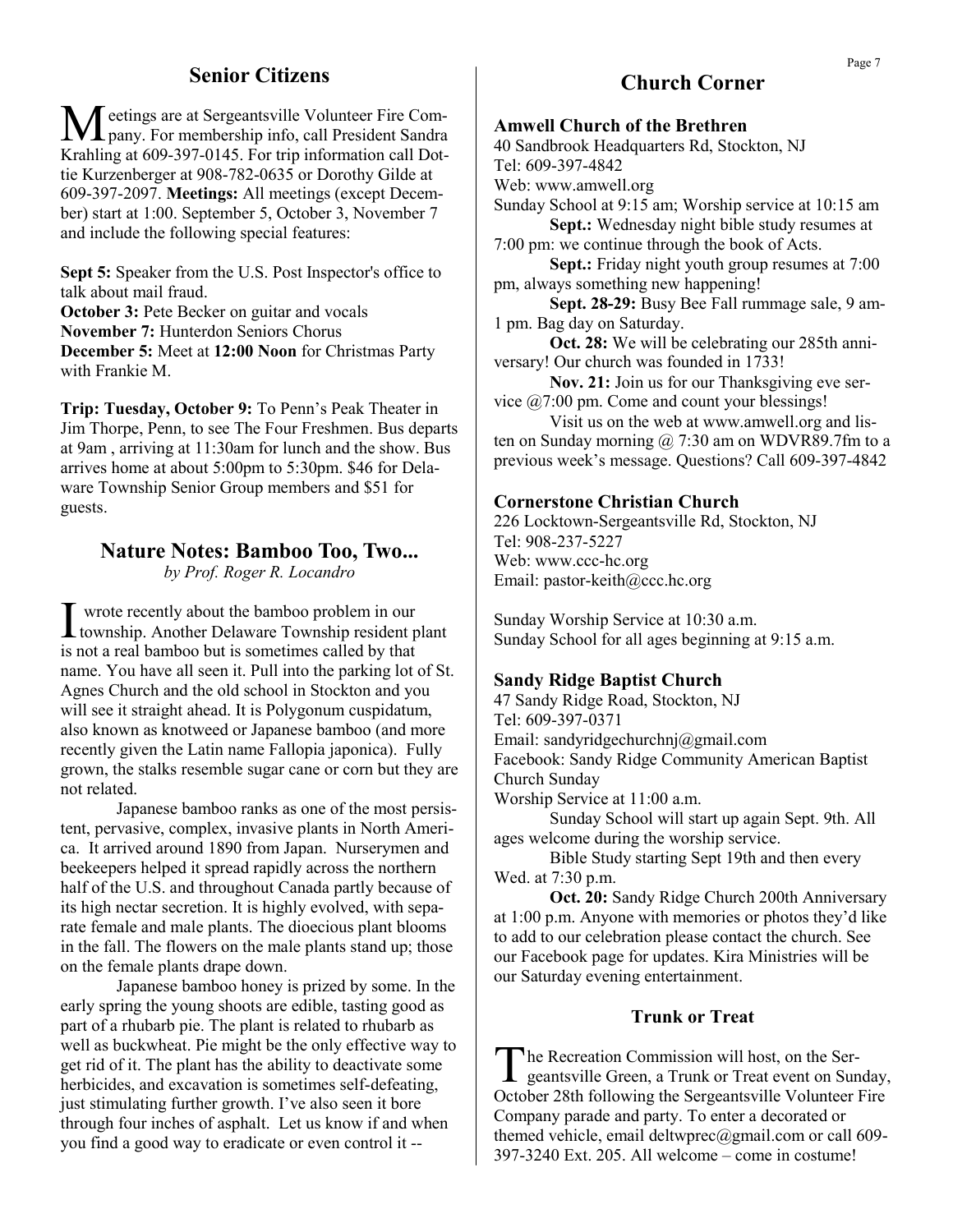## **Senior Citizens**

Meetings are at Sergeantsville Volunteer Fire Com-<br>pany. For membership info, call President Sandra Krahling at 609-397-0145. For trip information call Dottie Kurzenberger at 908-782-0635 or Dorothy Gilde at 609-397-2097. **Meetings:** All meetings (except December) start at 1:00. September 5, October 3, November 7 and include the following special features:

**Sept 5:** Speaker from the U.S. Post Inspector's office to talk about mail fraud. **October 3: Pete Becker on guitar and vocals** 

**November 7:** Hunterdon Seniors Chorus **December 5:** Meet at **12:00 Noon** for Christmas Party with Frankie M.

**Trip: Tuesday, October 9:** To Penn's Peak Theater in Jim Thorpe, Penn, to see The Four Freshmen. Bus departs at 9am , arriving at 11:30am for lunch and the show. Bus arrives home at about 5:00pm to 5:30pm. \$46 for Delaware Township Senior Group members and \$51 for guests.

## **Nature Notes: Bamboo Too, Two...**

*by Prof. Roger R. Locandro*

I wrote recently about the bamboo problem in our<br>township. Another Delaware Township resident plant wrote recently about the bamboo problem in our is not a real bamboo but is sometimes called by that name. You have all seen it. Pull into the parking lot of St. Agnes Church and the old school in Stockton and you will see it straight ahead. It is Polygonum cuspidatum, also known as knotweed or Japanese bamboo (and more recently given the Latin name Fallopia japonica). Fully grown, the stalks resemble sugar cane or corn but they are not related.

Japanese bamboo ranks as one of the most persistent, pervasive, complex, invasive plants in North America. It arrived around 1890 from Japan. Nurserymen and beekeepers helped it spread rapidly across the northern half of the U.S. and throughout Canada partly because of its high nectar secretion. It is highly evolved, with separate female and male plants. The dioecious plant blooms in the fall. The flowers on the male plants stand up; those on the female plants drape down.

Japanese bamboo honey is prized by some. In the early spring the young shoots are edible, tasting good as part of a rhubarb pie. The plant is related to rhubarb as well as buckwheat. Pie might be the only effective way to get rid of it. The plant has the ability to deactivate some herbicides, and excavation is sometimes self-defeating, just stimulating further growth. I've also seen it bore through four inches of asphalt. Let us know if and when you find a good way to eradicate or even control it --

## **Church Corner**

#### **Amwell Church of the Brethren**

40 Sandbrook Headquarters Rd, Stockton, NJ Tel: 609-397-4842 Web: www.amwell.org

Sunday School at 9:15 am; Worship service at 10:15 am **Sept.:** Wednesday night bible study resumes at

7:00 pm: we continue through the book of Acts.

**Sept.:** Friday night youth group resumes at 7:00 pm, always something new happening!

**Sept. 28-29:** Busy Bee Fall rummage sale, 9 am-1 pm. Bag day on Saturday.

**Oct. 28:** We will be celebrating our 285th anniversary! Our church was founded in 1733!

**Nov. 21:** Join us for our Thanksgiving eve service @7:00 pm. Come and count your blessings!

Visit us on the web at www.amwell.org and listen on Sunday morning  $\omega$  7:30 am on WDVR89.7fm to a previous week's message. Questions? Call 609-397-4842

#### **Cornerstone Christian Church**

226 Locktown-Sergeantsville Rd, Stockton, NJ Tel: 908-237-5227 Web: www.ccc-hc.org Email: pastor-keith@ccc.hc.org

Sunday Worship Service at 10:30 a.m. Sunday School for all ages beginning at 9:15 a.m.

#### **Sandy Ridge Baptist Church**

47 Sandy Ridge Road, Stockton, NJ Tel: 609-397-0371 Email: sandyridgechurchnj@gmail.com Facebook: Sandy Ridge Community American Baptist Church Sunday Worship Service at 11:00 a.m.

Sunday School will start up again Sept. 9th. All ages welcome during the worship service.

Bible Study starting Sept 19th and then every Wed. at 7:30 p.m.

**Oct. 20:** Sandy Ridge Church 200th Anniversary at 1:00 p.m. Anyone with memories or photos they'd like to add to our celebration please contact the church. See our Facebook page for updates. Kira Ministries will be our Saturday evening entertainment.

#### **Trunk or Treat**

The Recreation Commission will host, on the Sergeantsville Green, a Trunk or Treat event on Sunday, he Recreation Commission will host, on the Ser-October 28th following the Sergeantsville Volunteer Fire Company parade and party. To enter a decorated or themed vehicle, email deltwprec@gmail.com or call 609-397-3240 Ext. 205. All welcome – come in costume!